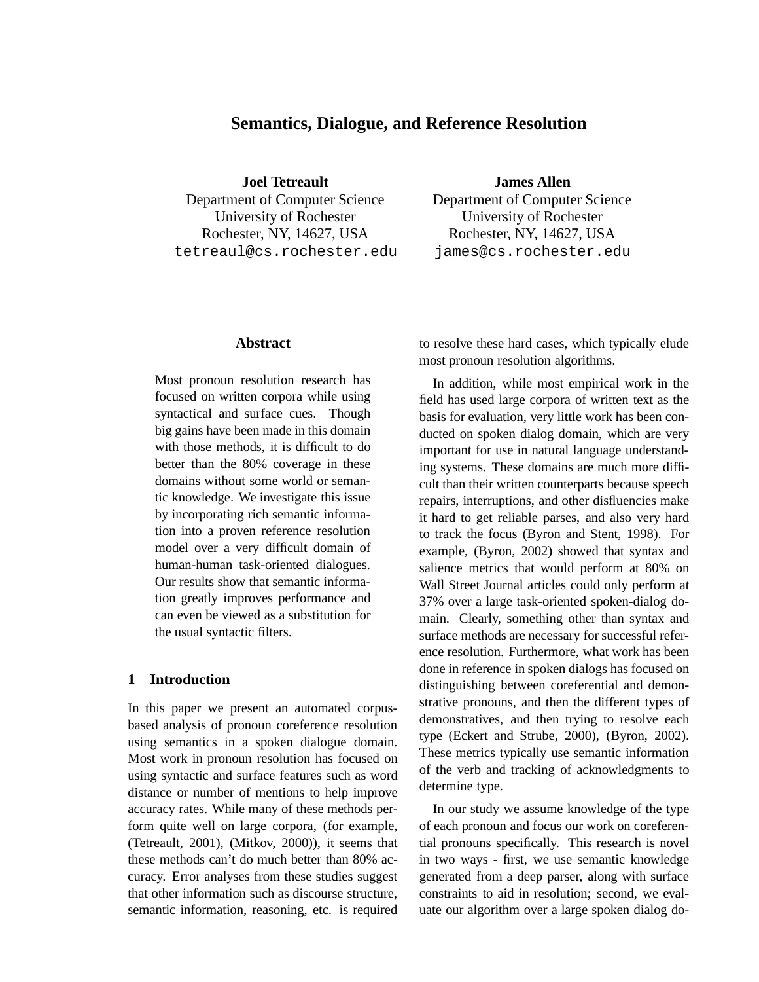# **Semantics, Dialogue, and Reference Resolution**

**Joel Tetreault** Department of Computer Science University of Rochester Rochester, NY, 14627, USA tetreaul@cs.rochester.edu **James Allen**

Department of Computer Science University of Rochester Rochester, NY, 14627, USA james@cs.rochester.edu

#### **Abstract**

Most pronoun resolution research has focused on written corpora while using syntactical and surface cues. Though big gains have been made in this domain with those methods, it is difficult to do better than the 80% coverage in these domains without some world or semantic knowledge. We investigate this issue by incorporating rich semantic information into a proven reference resolution model over a very difficult domain of human-human task-oriented dialogues. Our results show that semantic information greatly improves performance and can even be viewed as a substitution for the usual syntactic filters.

## **1 Introduction**

In this paper we present an automated corpusbased analysis of pronoun coreference resolution using semantics in a spoken dialogue domain. Most work in pronoun resolution has focused on using syntactic and surface features such as word distance or number of mentions to help improve accuracy rates. While many of these methods perform quite well on large corpora, (for example, (Tetreault, 2001), (Mitkov, 2000)), it seems that these methods can't do much better than 80% accuracy. Error analyses from these studies suggest that other information such as discourse structure, semantic information, reasoning, etc. is required

to resolve these hard cases, which typically elude most pronoun resolution algorithms.

In addition, while most empirical work in the field has used large corpora of written text as the basis for evaluation, very little work has been conducted on spoken dialog domain, which are very important for use in natural language understanding systems. These domains are much more difficult than their written counterparts because speech repairs, interruptions, and other disfluencies make it hard to get reliable parses, and also very hard to track the focus (Byron and Stent, 1998). For example, (Byron, 2002) showed that syntax and salience metrics that would perform at 80% on Wall Street Journal articles could only perform at 37% over a large task-oriented spoken-dialog domain. Clearly, something other than syntax and surface methods are necessary for successful reference resolution. Furthermore, what work has been done in reference in spoken dialogs has focused on distinguishing between coreferential and demonstrative pronouns, and then the different types of demonstratives, and then trying to resolve each type (Eckert and Strube, 2000), (Byron, 2002). These metrics typically use semantic information of the verb and tracking of acknowledgments to determine type.

In our study we assume knowledge of the type of each pronoun and focus our work on coreferential pronouns specifically. This research is novel in two ways - first, we use semantic knowledge generated from a deep parser, along with surface constraints to aid in resolution; second, we evaluate our algorithm over a large spoken dialog do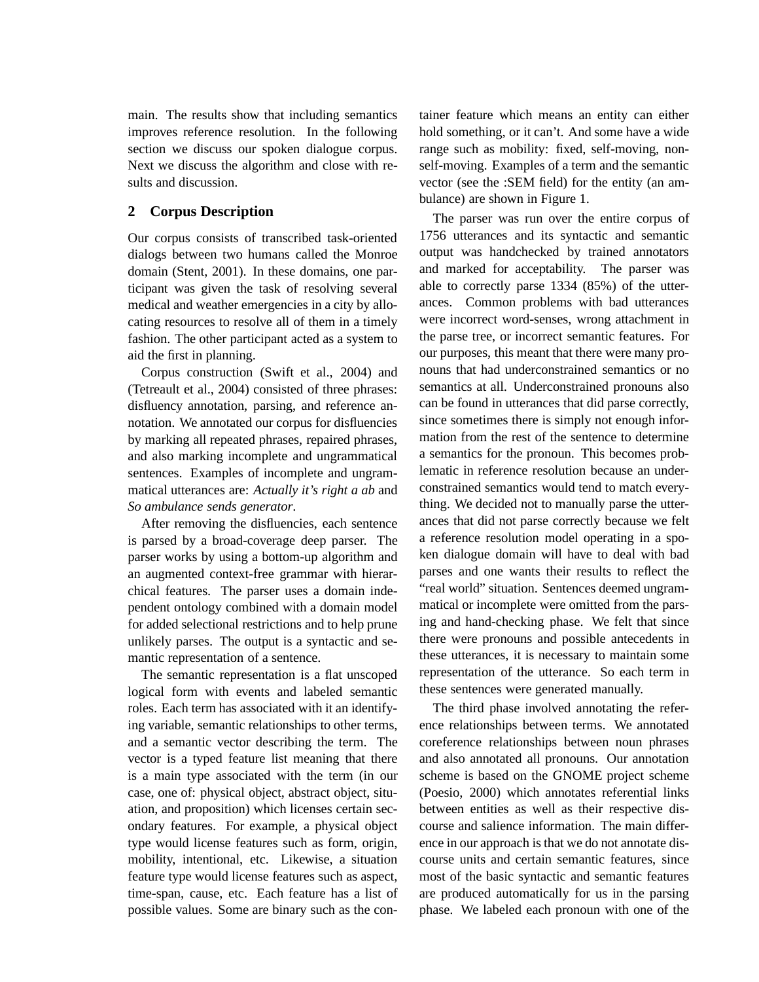main. The results show that including semantics improves reference resolution. In the following section we discuss our spoken dialogue corpus. Next we discuss the algorithm and close with results and discussion.

## **2 Corpus Description**

Our corpus consists of transcribed task-oriented dialogs between two humans called the Monroe domain (Stent, 2001). In these domains, one participant was given the task of resolving several medical and weather emergencies in a city by allocating resources to resolve all of them in a timely fashion. The other participant acted as a system to aid the first in planning.

Corpus construction (Swift et al., 2004) and (Tetreault et al., 2004) consisted of three phrases: disfluency annotation, parsing, and reference annotation. We annotated our corpus for disfluencies by marking all repeated phrases, repaired phrases, and also marking incomplete and ungrammatical sentences. Examples of incomplete and ungrammatical utterances are: *Actually it's right a ab* and *So ambulance sends generator*.

After removing the disfluencies, each sentence is parsed by a broad-coverage deep parser. The parser works by using a bottom-up algorithm and an augmented context-free grammar with hierarchical features. The parser uses a domain independent ontology combined with a domain model for added selectional restrictions and to help prune unlikely parses. The output is a syntactic and semantic representation of a sentence.

The semantic representation is a flat unscoped logical form with events and labeled semantic roles. Each term has associated with it an identifying variable, semantic relationships to other terms, and a semantic vector describing the term. The vector is a typed feature list meaning that there is a main type associated with the term (in our case, one of: physical object, abstract object, situation, and proposition) which licenses certain secondary features. For example, a physical object type would license features such as form, origin, mobility, intentional, etc. Likewise, a situation feature type would license features such as aspect, time-span, cause, etc. Each feature has a list of possible values. Some are binary such as the container feature which means an entity can either hold something, or it can't. And some have a wide range such as mobility: fixed, self-moving, nonself-moving. Examples of a term and the semantic vector (see the :SEM field) for the entity (an ambulance) are shown in Figure 1.

The parser was run over the entire corpus of 1756 utterances and its syntactic and semantic output was handchecked by trained annotators and marked for acceptability. The parser was able to correctly parse 1334 (85%) of the utterances. Common problems with bad utterances were incorrect word-senses, wrong attachment in the parse tree, or incorrect semantic features. For our purposes, this meant that there were many pronouns that had underconstrained semantics or no semantics at all. Underconstrained pronouns also can be found in utterances that did parse correctly, since sometimes there is simply not enough information from the rest of the sentence to determine a semantics for the pronoun. This becomes problematic in reference resolution because an underconstrained semantics would tend to match everything. We decided not to manually parse the utterances that did not parse correctly because we felt a reference resolution model operating in a spoken dialogue domain will have to deal with bad parses and one wants their results to reflect the "real world" situation. Sentences deemed ungrammatical or incomplete were omitted from the parsing and hand-checking phase. We felt that since there were pronouns and possible antecedents in these utterances, it is necessary to maintain some representation of the utterance. So each term in these sentences were generated manually.

The third phase involved annotating the reference relationships between terms. We annotated coreference relationships between noun phrases and also annotated all pronouns. Our annotation scheme is based on the GNOME project scheme (Poesio, 2000) which annotates referential links between entities as well as their respective discourse and salience information. The main difference in our approach is that we do not annotate discourse units and certain semantic features, since most of the basic syntactic and semantic features are produced automatically for us in the parsing phase. We labeled each pronoun with one of the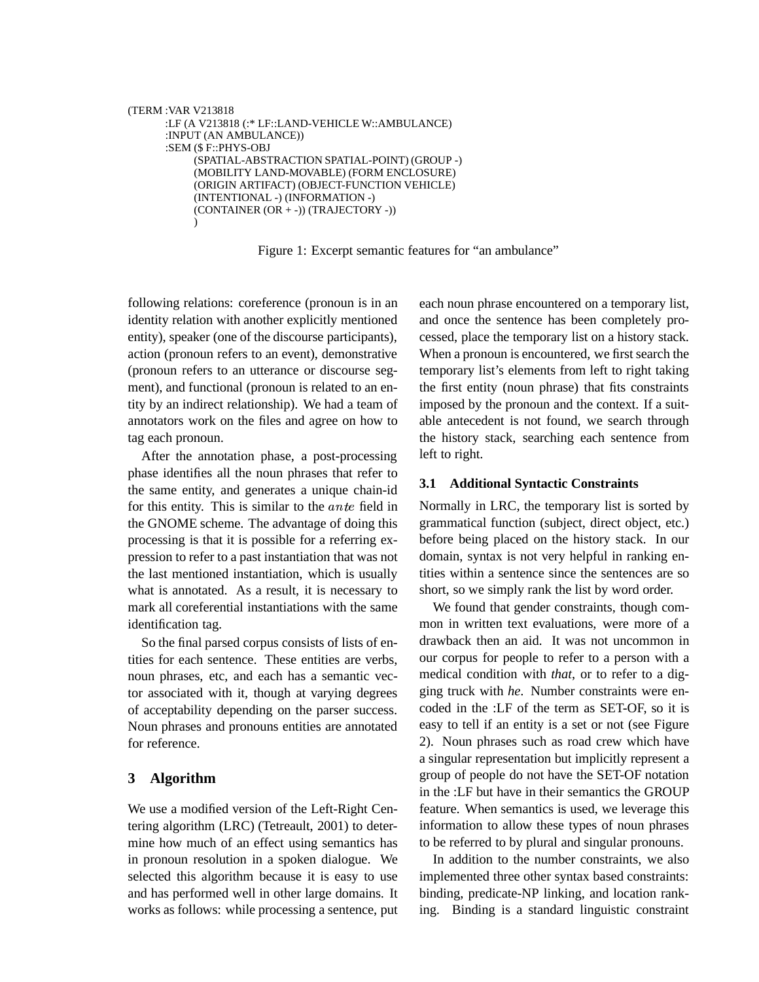```
(TERM :VAR V213818
:LF (A V213818 (:* LF::LAND-VEHICLE W::AMBULANCE)
:INPUT (AN AMBULANCE))
:SEM ($ F::PHYS-OBJ
     (SPATIAL-ABSTRACTION SPATIAL-POINT) (GROUP -)
     (MOBILITY LAND-MOVABLE) (FORM ENCLOSURE)
     (ORIGIN ARTIFACT) (OBJECT-FUNCTION VEHICLE)
     (INTENTIONAL -) (INFORMATION -)
     (CONTAINER (OR + -)) (TRAJECTORY -))
     )
```
Figure 1: Excerpt semantic features for "an ambulance"

following relations: coreference (pronoun is in an identity relation with another explicitly mentioned entity), speaker (one of the discourse participants), action (pronoun refers to an event), demonstrative (pronoun refers to an utterance or discourse segment), and functional (pronoun is related to an entity by an indirect relationship). We had a team of annotators work on the files and agree on how to tag each pronoun.

After the annotation phase, a post-processing phase identifies all the noun phrases that refer to the same entity, and generates a unique chain-id for this entity. This is similar to the ante field in the GNOME scheme. The advantage of doing this processing is that it is possible for a referring expression to refer to a past instantiation that was not the last mentioned instantiation, which is usually what is annotated. As a result, it is necessary to mark all coreferential instantiations with the same identification tag.

So the final parsed corpus consists of lists of entities for each sentence. These entities are verbs, noun phrases, etc, and each has a semantic vector associated with it, though at varying degrees of acceptability depending on the parser success. Noun phrases and pronouns entities are annotated for reference.

## **3 Algorithm**

We use a modified version of the Left-Right Centering algorithm (LRC) (Tetreault, 2001) to determine how much of an effect using semantics has in pronoun resolution in a spoken dialogue. We selected this algorithm because it is easy to use and has performed well in other large domains. It works as follows: while processing a sentence, put each noun phrase encountered on a temporary list, and once the sentence has been completely processed, place the temporary list on a history stack. When a pronoun is encountered, we first search the temporary list's elements from left to right taking the first entity (noun phrase) that fits constraints imposed by the pronoun and the context. If a suitable antecedent is not found, we search through the history stack, searching each sentence from left to right.

### **3.1 Additional Syntactic Constraints**

Normally in LRC, the temporary list is sorted by grammatical function (subject, direct object, etc.) before being placed on the history stack. In our domain, syntax is not very helpful in ranking entities within a sentence since the sentences are so short, so we simply rank the list by word order.

We found that gender constraints, though common in written text evaluations, were more of a drawback then an aid. It was not uncommon in our corpus for people to refer to a person with a medical condition with *that*, or to refer to a digging truck with *he*. Number constraints were encoded in the :LF of the term as SET-OF, so it is easy to tell if an entity is a set or not (see Figure 2). Noun phrases such as road crew which have a singular representation but implicitly represent a group of people do not have the SET-OF notation in the :LF but have in their semantics the GROUP feature. When semantics is used, we leverage this information to allow these types of noun phrases to be referred to by plural and singular pronouns.

In addition to the number constraints, we also implemented three other syntax based constraints: binding, predicate-NP linking, and location ranking. Binding is a standard linguistic constraint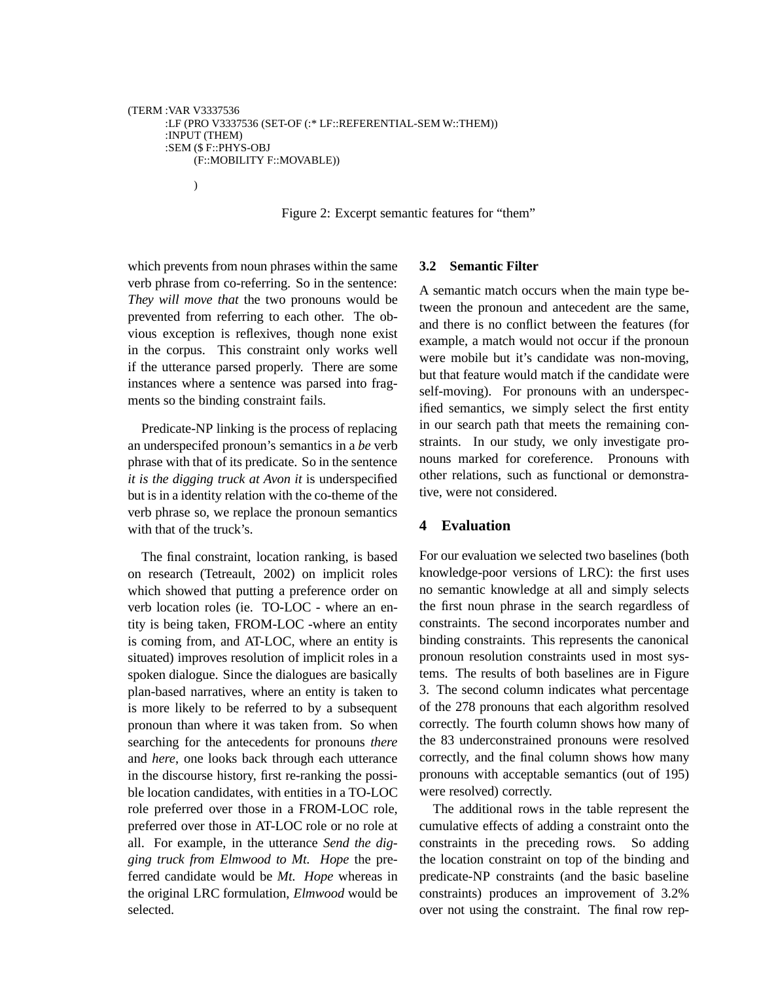```
(TERM :VAR V3337536
:LF (PRO V3337536 (SET-OF (:* LF::REFERENTIAL-SEM W::THEM))
:INPUT (THEM)
:SEM ($ F::PHYS-OBJ
     (F::MOBILITY F::MOVABLE))
     )
```
Figure 2: Excerpt semantic features for "them"

which prevents from noun phrases within the same verb phrase from co-referring. So in the sentence: *They will move that* the two pronouns would be prevented from referring to each other. The obvious exception is reflexives, though none exist in the corpus. This constraint only works well if the utterance parsed properly. There are some instances where a sentence was parsed into fragments so the binding constraint fails.

Predicate-NP linking is the process of replacing an underspecifed pronoun's semantics in a *be* verb phrase with that of its predicate. So in the sentence *it is the digging truck at Avon it* is underspecified but is in a identity relation with the co-theme of the verb phrase so, we replace the pronoun semantics with that of the truck's.

The final constraint, location ranking, is based on research (Tetreault, 2002) on implicit roles which showed that putting a preference order on verb location roles (ie. TO-LOC - where an entity is being taken, FROM-LOC -where an entity is coming from, and AT-LOC, where an entity is situated) improves resolution of implicit roles in a spoken dialogue. Since the dialogues are basically plan-based narratives, where an entity is taken to is more likely to be referred to by a subsequent pronoun than where it was taken from. So when searching for the antecedents for pronouns *there* and *here*, one looks back through each utterance in the discourse history, first re-ranking the possible location candidates, with entities in a TO-LOC role preferred over those in a FROM-LOC role, preferred over those in AT-LOC role or no role at all. For example, in the utterance *Send the digging truck from Elmwood to Mt. Hope* the preferred candidate would be *Mt. Hope* whereas in the original LRC formulation, *Elmwood* would be selected.

#### **3.2 Semantic Filter**

A semantic match occurs when the main type between the pronoun and antecedent are the same, and there is no conflict between the features (for example, a match would not occur if the pronoun were mobile but it's candidate was non-moving, but that feature would match if the candidate were self-moving). For pronouns with an underspecified semantics, we simply select the first entity in our search path that meets the remaining constraints. In our study, we only investigate pronouns marked for coreference. Pronouns with other relations, such as functional or demonstrative, were not considered.

#### **4 Evaluation**

For our evaluation we selected two baselines (both knowledge-poor versions of LRC): the first uses no semantic knowledge at all and simply selects the first noun phrase in the search regardless of constraints. The second incorporates number and binding constraints. This represents the canonical pronoun resolution constraints used in most systems. The results of both baselines are in Figure 3. The second column indicates what percentage of the 278 pronouns that each algorithm resolved correctly. The fourth column shows how many of the 83 underconstrained pronouns were resolved correctly, and the final column shows how many pronouns with acceptable semantics (out of 195) were resolved) correctly.

The additional rows in the table represent the cumulative effects of adding a constraint onto the constraints in the preceding rows. So adding the location constraint on top of the binding and predicate-NP constraints (and the basic baseline constraints) produces an improvement of 3.2% over not using the constraint. The final row rep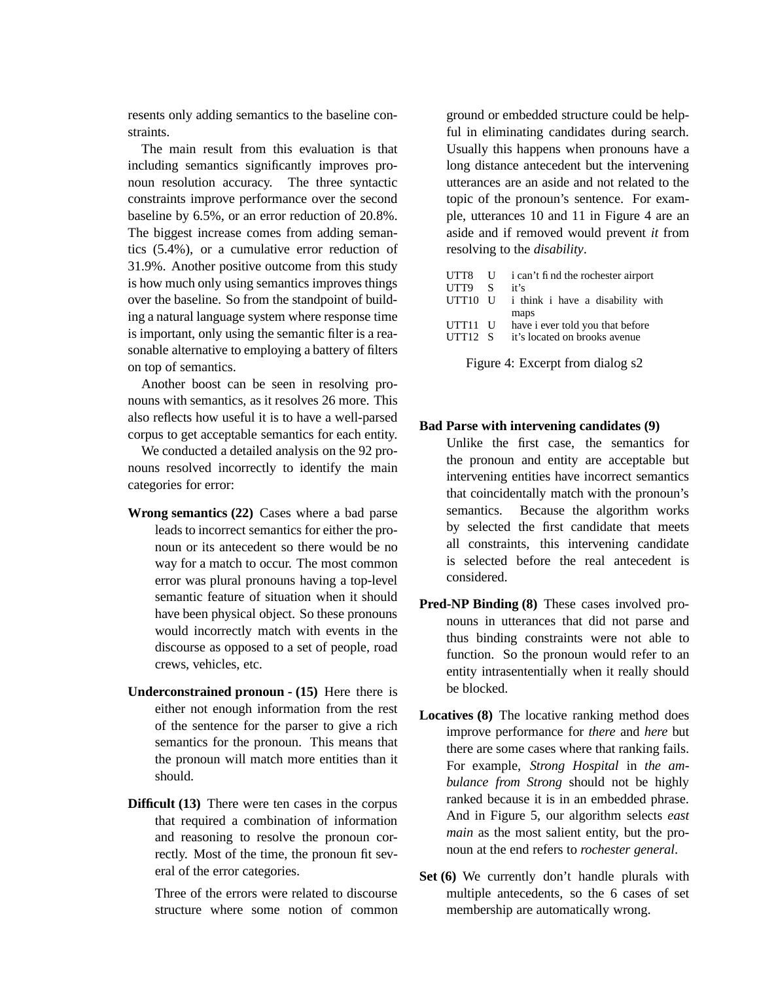resents only adding semantics to the baseline constraints.

The main result from this evaluation is that including semantics significantly improves pronoun resolution accuracy. The three syntactic constraints improve performance over the second baseline by 6.5%, or an error reduction of 20.8%. The biggest increase comes from adding semantics (5.4%), or a cumulative error reduction of 31.9%. Another positive outcome from this study is how much only using semantics improves things over the baseline. So from the standpoint of building a natural language system where response time is important, only using the semantic filter is a reasonable alternative to employing a battery of filters on top of semantics.

Another boost can be seen in resolving pronouns with semantics, as it resolves 26 more. This also reflects how useful it is to have a well-parsed corpus to get acceptable semantics for each entity.

We conducted a detailed analysis on the 92 pronouns resolved incorrectly to identify the main categories for error:

- **Wrong semantics (22)** Cases where a bad parse leads to incorrect semantics for either the pronoun or its antecedent so there would be no way for a match to occur. The most common error was plural pronouns having a top-level semantic feature of situation when it should have been physical object. So these pronouns would incorrectly match with events in the discourse as opposed to a set of people, road crews, vehicles, etc.
- **Underconstrained pronoun - (15)** Here there is either not enough information from the rest of the sentence for the parser to give a rich semantics for the pronoun. This means that the pronoun will match more entities than it should.
- **Difficult (13)** There were ten cases in the corpus that required a combination of information and reasoning to resolve the pronoun correctly. Most of the time, the pronoun fit several of the error categories.

Three of the errors were related to discourse structure where some notion of common ground or embedded structure could be helpful in eliminating candidates during search. Usually this happens when pronouns have a long distance antecedent but the intervening utterances are an aside and not related to the topic of the pronoun's sentence. For example, utterances 10 and 11 in Figure 4 are an aside and if removed would prevent *it* from resolving to the *disability*.

| UTT8              | - U          | i can't fi nd the rochester airport |  |  |  |
|-------------------|--------------|-------------------------------------|--|--|--|
| UTT9              | S.           | it's                                |  |  |  |
| UTT10 U           |              | i think i have a disability with    |  |  |  |
|                   |              | maps                                |  |  |  |
| UTT <sub>11</sub> | $\mathbf{U}$ | have i ever told you that before    |  |  |  |
| UTT12 S           |              | it's located on brooks avenue       |  |  |  |
|                   |              |                                     |  |  |  |

Figure 4: Excerpt from dialog s2

#### **Bad Parse with intervening candidates (9)**

Unlike the first case, the semantics for the pronoun and entity are acceptable but intervening entities have incorrect semantics that coincidentally match with the pronoun's semantics. Because the algorithm works by selected the first candidate that meets all constraints, this intervening candidate is selected before the real antecedent is considered.

- **Pred-NP Binding (8)** These cases involved pronouns in utterances that did not parse and thus binding constraints were not able to function. So the pronoun would refer to an entity intrasententially when it really should be blocked.
- **Locatives (8)** The locative ranking method does improve performance for *there* and *here* but there are some cases where that ranking fails. For example, *Strong Hospital* in *the ambulance from Strong* should not be highly ranked because it is in an embedded phrase. And in Figure 5, our algorithm selects *east main* as the most salient entity, but the pronoun at the end refers to *rochester general*.
- **Set (6)** We currently don't handle plurals with multiple antecedents, so the 6 cases of set membership are automatically wrong.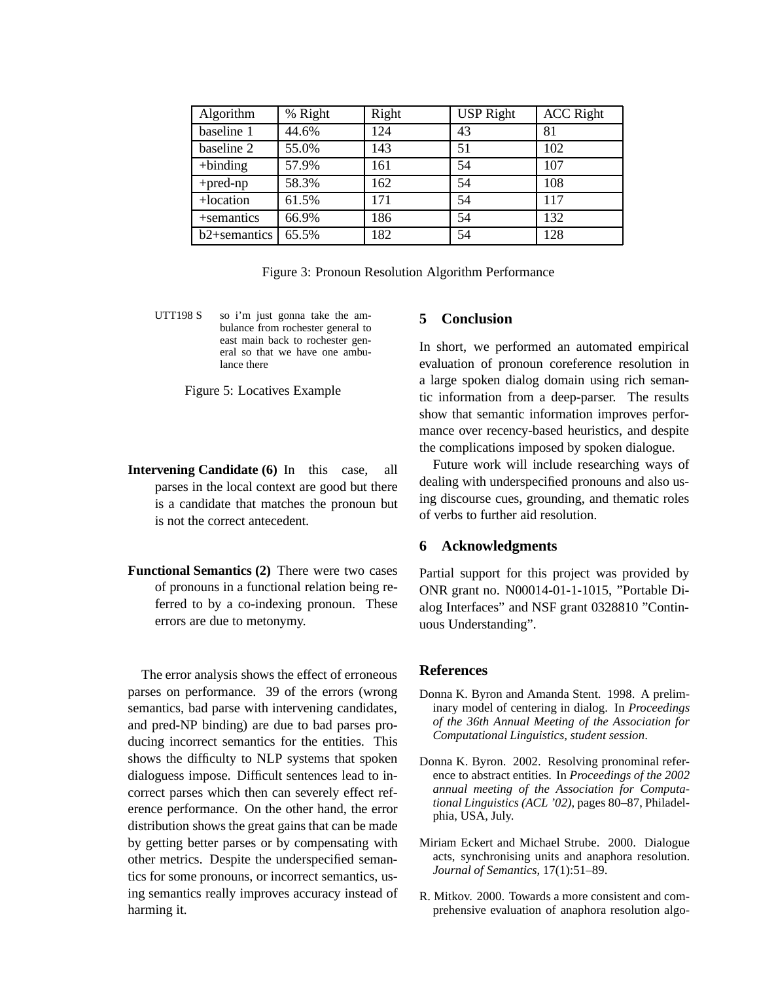| Algorithm                | % Right | Right | <b>USP Right</b> | <b>ACC Right</b> |
|--------------------------|---------|-------|------------------|------------------|
| baseline 1               | 44.6%   | 124   | 43               | 81               |
| baseline 2               | 55.0%   | 143   | 51               | 102              |
| $+$ binding              | 57.9%   | 161   | 54               | 107              |
| $+pred$ -np              | 58.3%   | 162   | 54               | 108              |
| +location                | 61.5%   | 171   | 54               | 117              |
| +semantics               | 66.9%   | 186   | 54               | 132              |
| b <sub>2+semantics</sub> | 65.5%   | 182   | 54               | 128              |

Figure 3: Pronoun Resolution Algorithm Performance

UTT198 S so i'm just gonna take the ambulance from rochester general to east main back to rochester general so that we have one ambulance there

Figure 5: Locatives Example

- **Intervening Candidate (6)** In this case, all parses in the local context are good but there is a candidate that matches the pronoun but is not the correct antecedent.
- **Functional Semantics (2)** There were two cases of pronouns in a functional relation being referred to by a co-indexing pronoun. These errors are due to metonymy.

The error analysis shows the effect of erroneous parses on performance. 39 of the errors (wrong semantics, bad parse with intervening candidates, and pred-NP binding) are due to bad parses producing incorrect semantics for the entities. This shows the difficulty to NLP systems that spoken dialoguess impose. Difficult sentences lead to incorrect parses which then can severely effect reference performance. On the other hand, the error distribution shows the great gains that can be made by getting better parses or by compensating with other metrics. Despite the underspecified semantics for some pronouns, or incorrect semantics, using semantics really improves accuracy instead of harming it.

### **5 Conclusion**

In short, we performed an automated empirical evaluation of pronoun coreference resolution in a large spoken dialog domain using rich semantic information from a deep-parser. The results show that semantic information improves performance over recency-based heuristics, and despite the complications imposed by spoken dialogue.

Future work will include researching ways of dealing with underspecified pronouns and also using discourse cues, grounding, and thematic roles of verbs to further aid resolution.

#### **6 Acknowledgments**

Partial support for this project was provided by ONR grant no. N00014-01-1-1015, "Portable Dialog Interfaces" and NSF grant 0328810 "Continuous Understanding".

#### **References**

- Donna K. Byron and Amanda Stent. 1998. A preliminary model of centering in dialog. In *Proceedings of the 36th Annual Meeting of the Association for Computational Linguistics, student session*.
- Donna K. Byron. 2002. Resolving pronominal reference to abstract entities. In *Proceedings of the 2002 annual meeting of the Association for Computational Linguistics (ACL '02)*, pages 80–87, Philadelphia, USA, July.
- Miriam Eckert and Michael Strube. 2000. Dialogue acts, synchronising units and anaphora resolution. *Journal of Semantics*, 17(1):51–89.
- R. Mitkov. 2000. Towards a more consistent and comprehensive evaluation of anaphora resolution algo-